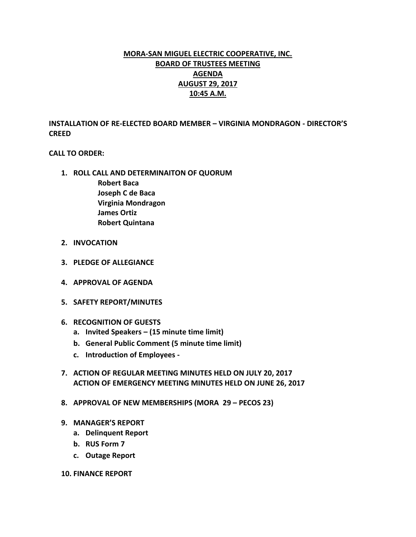# **MORA-SAN MIGUEL ELECTRIC COOPERATIVE, INC. BOARD OF TRUSTEES MEETING AGENDA AUGUST 29, 2017 10:45 A.M.**

**INSTALLATION OF RE-ELECTED BOARD MEMBER – VIRGINIA MONDRAGON - DIRECTOR'S CREED**

## **CALL TO ORDER:**

- **1. ROLL CALL AND DETERMINAITON OF QUORUM Robert Baca Joseph C de Baca Virginia Mondragon James Ortiz Robert Quintana**
- **2. INVOCATION**
- **3. PLEDGE OF ALLEGIANCE**
- **4. APPROVAL OF AGENDA**
- **5. SAFETY REPORT/MINUTES**
- **6. RECOGNITION OF GUESTS**
	- **a. Invited Speakers – (15 minute time limit)**
	- **b. General Public Comment (5 minute time limit)**
	- **c. Introduction of Employees -**
- **7. ACTION OF REGULAR MEETING MINUTES HELD ON JULY 20, 2017 ACTION OF EMERGENCY MEETING MINUTES HELD ON JUNE 26, 2017**
- **8. APPROVAL OF NEW MEMBERSHIPS (MORA 29 – PECOS 23)**
- **9. MANAGER'S REPORT**
	- **a. Delinquent Report**
	- **b. RUS Form 7**
	- **c. Outage Report**
- **10. FINANCE REPORT**